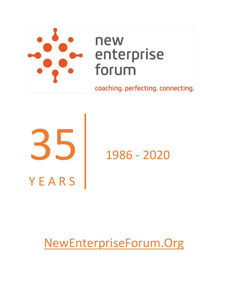

# 35 **YEARS** 1986 - 2020

# [NewEnterpriseForum.Org](https://newenterpriseforum.org/)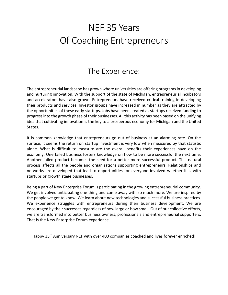# NEF 35 Years Of Coaching Entrepreneurs

### The Experience:

The entrepreneurial landscape has grown where universities are offering programs in developing and nurturing innovation. With the support of the state of Michigan, entrepreneurial incubators and accelerators have also grown. Entrepreneurs have received critical training in developing their products and services. Investor groups have increased in number as they are attracted by the opportunities of these early startups. Jobs have been created as startups received funding to progress into the growth phase of their businesses. All this activity has been based on the unifying idea that cultivating innovation is the key to a prosperous economy for Michigan and the United States.

It is common knowledge that entrepreneurs go out of business at an alarming rate. On the surface, it seems the return on startup investment is very low when measured by that statistic alone. What is difficult to measure are the overall benefits their experiences have on the economy. One failed business fosters knowledge on how to be more successful the next time. Another failed product becomes the seed for a better more successful product. This natural process affects all the people and organizations supporting entrepreneurs. Relationships and networks are developed that lead to opportunities for everyone involved whether it is with startups or growth stage businesses.

Being a part of New Enterprise Forum is participating in the growing entrepreneurial community. We get involved anticipating one thing and come away with so much more. We are inspired by the people we get to know. We learn about new technologies and successful business practices. We experience struggles with entrepreneurs during their business development. We are encouraged by their successes regardless of how large or how small. Out of our collective efforts, we are transformed into better business owners, professionals and entrepreneurial supporters. That is the New Enterprise Forum experience.

Happy 35<sup>th</sup> Anniversary NEF with over 400 companies coached and lives forever enriched!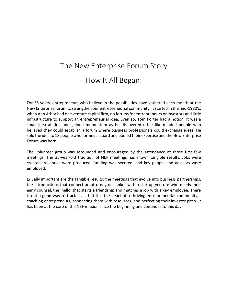## The New Enterprise Forum Story How It All Began:

For 35 years, entrepreneurs who believe in the possibilities have gathered each month at the New Enterprise forum to strengthen our entrepreneurial community. It started in the mid-1980's, when Ann Arbor had one venture capital firm, no forums for entrepreneurs or investors and little infrastructure to support an entrepreneurial idea. Even so, Tom Porter had a notion. It was a small idea at first and gained momentum as he discovered other like-minded people who believed they could establish a forum where business professionals could exchange ideas. He sold the idea to 18 people who formed a board and pooled their expertise and the New Enterprise Forum was born.

The volunteer group was astounded and encouraged by the attendance at those first few meetings. The 35-year-old tradition of NEF meetings has shown tangible results. Jobs were created, revenues were produced, funding was secured, and key people and advisors were employed.

Equally important are the tangible results: the meetings that evolve into business partnerships, the introductions that connect an attorney or banker with a startup venture who needs their early counsel, the 'hello' that starts a friendship and matches a job with a key employee. There is not a good way to track it all, but it is the heart of a thriving entrepreneurial community – coaching entrepreneurs, connecting them with resources, and perfecting their investor pitch. It has been at the core of the NEF mission since the beginning and continues to this day.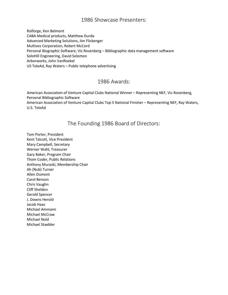Rolforge, Ken Belmont CABA Medical products, Matthew Durda Advanced Marketing Solutions, Jim Flickenger Multives Corporation, Robert McCord Personal Biographic Software, Vic Rosenberg – Bibliographic data management software SoloHill Engineering, David Solomon Arborworks, John VanRoekel US TeleAd, Ray Waters – Public telephone advertising

#### 1986 Awards:

American Association of Venture Capital Clubs National Winner – Representing NEF, Vic Rosenberg, Personal Bibliographic Software

American Association of Venture Capital Clubs Top 5 National Finisher – Representing NEF, Ray Waters, U.S. TeleAd

#### The Founding 1986 Board of Directors:

Tom Porter, President Kent Talcott, Vice President Mary Campbell, Secretary Werner Wahl, Treasurer Gary Baker, Program Chair Thom Coder, Public Relations Anthony Muraski, Membership Chair Ah (Nub) Turner Allen Dumont Carol Benson Chris Vaughn Cliff Sheldon Gerald Spencer J. Downs Herold Jacob Haas Michael Ammann Michael McCraw Michael Nold Michael Staebler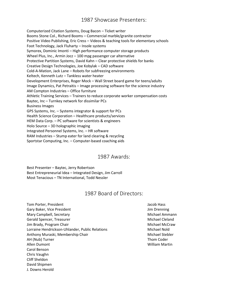Computerized Citation Systems, Doug Bacon – Ticket writer Booms Stone Col., Richard Booms – Commercial marble/granite contractor Positive Video Publishing, Eric Cress – Videos & teaching tools for elementary schools Foot Technology, Jack Fluharty – Insole systems Symorex, Dominic Imonti – High performance computer storage products Wheel Plus, Inc., Armin Jocz – 100 mpg passenger car alternative Protective Partition Systems, David Kahn – Clear protective shields for banks Creative Design Technologies, Joe Kobylak – CAD software Cold-A-Mation, Jack Lane – Robots for subfreezing environments Keltech, Kenneth Lutz – Tankless water heater Development Enterprises, Roger Mock – Wall Street board game for teens/adults Image Dynamics, Pat Petraitis – Image processing software for the science industry AM Compton Industries – Office furniture Athletic Training Services – Trainers to reduce corporate worker compensation costs Baytec, Inc – Turnkey network for dissimilar PCs Business Images GPS Systems, Inc. – Systems integrator & support for PCs Health Science Corporation – Healthcare products/services HEM Data Corp. – PC software for scientists & engineers Holo Source – 3D holographic imaging Integrated Personnel Systems, Inc. – HR software RAM Industries – Stump eater for land clearing & recycling Sportstar Computing, Inc. – Computer-based coaching aids

#### 1987 Awards:

Best Presenter – Baytec, Jerry Robertson Best Entrepreneurial Idea – Integrated Design, Jim Carroll Most Tenacious – TN International, Todd Nessler

#### 1987 Board of Directors:

Tom Porter, President Andreas Andreas Andreas Andreas Andreas Andreas Andreas Andreas Andreas Andreas Andreas Gary Baker, Vice President Value of American Control of American American Control of American American American Mary Campbell, Secretary **Michael Ammann** Michael Ammann Gerald Spencer, Treasurer Michael Cleland Communications and Michael Cleland Jim Brady, Program Chair Michael McCraw Michael McCraw Lorraine Hendrickson-Uhlander, Public Relations Michael Nold Anthony Muraski, Membership Chair Michael Stebler Michael Stebler AH (Nub) Turner Thom Coder Thom Coder Allen Dumont William Martin Carol Benson Chris Vaughn Cliff Sheldon David Shipmen J. Downs Herold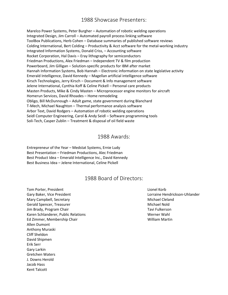Marelco Power Systems, Peter Burgher – Automation of robotic welding operations Integrated Design, Jim Carroll – Automated payroll process linking software ToolBox Publications, Herb Cohen – Database summaries of published software reviews Colding International, Bert Colding – Productivity & Acct software for the metal-working industry Integrated Information Systems, Donald Criss, – Accounting software Rocket Corporation, Hal Davis – Eray lithography for semiconductors Friedman Productions, Alex Friedman – Independent TV & film production Powerboard, Jim Gilligan – Solution-specific products for IBM after market Hannah Information Systems, Bob Hannah – Electronic information on state legislative activity Emerald Intelligence, David Kennedy – Magellan artificial intelligence software Kirsch Technologies, Jerry Kirsch – Document & Info management software Jelene International, Cynthia Koff & Celine Pickell – Personal care products Masten Products, Mike & Cindy Masten – Microprocessor engine monitors for aircraft Homerun Services, David Rhoades – Home remodeling Obligo, Bill McDunnough – Adult game, state government during Blanchard T-Mech, Michael Naughton – Thermal performance analysis software Arbor Text, David Rodgers – Automation of robotic welding operations Seidl Computer Engineering, Carol & Andy Seidl – Software programming tools Soli-Tech, Casper Zublin – Treatment & disposal of oil field waste

#### 1988 Awards:

Entrepreneur of the Year – Medstat Systems, Ernie Ludy Best Presentation – Friedman Productions, Alec Friedman Best Product Idea – Emerald Intelligence Inc., David Kennedy Best Business Idea – Jelene International, Celine Pickell

#### 1988 Board of Directors:

Tom Porter, President Lionel Korb Lionel Korb Lionel Korb Lionel Korb Lionel Korb Gary Baker, Vice President Lorraine Hendrickson-Uhlander Lorraine Hendrickson-Uhlander Mary Campbell, Secretary Michael Cleland Gerald Spencer, Treasurer Michael Nold Jim Brady, Program Chair Tavi Fulkerson and Tavi Fulkerson Karen Schlanderer, Public Relations Werner Wahl Nerner Wahl Ed Zimmer, Membership Chair William Martin Allen Dumont Anthony Muraski Cliff Sheldon David Shipmen Erik Serr Gary Larkin Gretchen Waters J. Downs Herold Jacob Hass Kent Talcott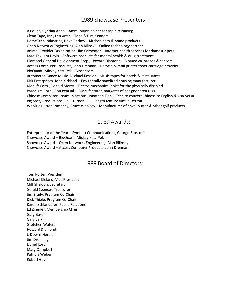A Pouch, Cynthia Abdo – Ammunition holder for rapid reloading Clean Tape, Inc., Len Antic – Tape & film cleaners HomeTech Industries, Dave Barlow – Kitchen bath & home products Open Networks Engineering, Alan Bilinski – Online technology partner Animal Provider Organization, Jim Carpenter – Internet health services for domestic pets Kare-Tek, Jim Davis – Software products for mental health & drug treatment Diamond General Development Corp., Howard Diamond – Biomedical probes & sensors Access Computer Products, John Drennan – Recycle & refill printer toner cartridge provider BioQuant, Mickey Katz-Pek – Biosensors Automated Dance Music, Michael Kessler – Music tapes for hotels & restaurants Kirk Enterprises, John Kirkland – Eco-friendly panelized housing manufacturer Medlift Corp., Donald Merry – Electro-mechanical hoist for the physically disabled Paradigm Corp., Ron Pearsall – Manufacturer, marketer of designer area rugs Chinese Computer Communications, Jonathan Tien – Tech to convert Chinese to English & visa-versa Big Story Productions, Paul Turner – Full length feature film in Detroit Woolzie Putter Company, Bruce Woolsey – Manufacturer of novel putter & other golf products

#### 1989 Awards:

Entrepreneur of the Year – Symplex Communications, George Brostoff Showcase Award – BioQuant, Mickey Katz-Pek Showcase Award – Open Networks Engineering, Alan Bilinsky Showcase Award – Access Computer Products, John Drennan

#### 1989 Board of Directors:

Tom Porter, President Michael Cleland, Vice President Cliff Sheldon, Secretary Gerald Spencer, Treasurer Jim Brady, Program Co-Chair Dick Thiele, Program Co-Chair Karen Schlanderer, Public Relations Ed Zimmer, Membership Chair Gary Baker Gary Larkin Gretchen Waters Howard Diamond J. Downs Herold Jim Drenning Lionel Korb Mary Campbell Patricia Weber Robert Gavin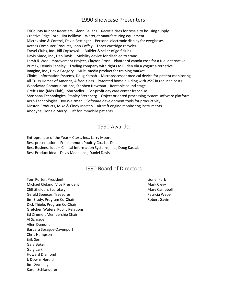TriCounty Rubber Recyclers, Glenn Ballans – Recycle tires for resale to housing supply Creative Edge Corp., Jim Belilove – Waterjet manufacturing equipment Microvision & Control, David Bettinger – Personal electronic display for eyeglasses Access Computer Products, John Coffey – Toner cartridge recycler Travel Clubs, Inc., Bill Copkowski – Builder & seller of golf clubs Davis Made, Inc., Dan Davis – Mobility device for disabled to stand Lamb & Wool Improvement Project, Clayton Ernst – Planter of canola crop for a fuel alternative Primex, Dennis Feheley – Trading company with rights to Puden Vla a yogurt alternative Imagine, Inc., David Gregory – Multi-media product for training market Clinical Information Systems, Doug Kassab – Microprocessor medical device for patient monitoring All Truss Homes of America, Alfred Kloss – Patented home building with 25% in reduced costs Woodward Communications, Stephen Newman – Rentable sound stage Greff's Inc. (Kids Klub), John Sadler – For-profit day care center franchise Shoshana Technologies, Stanley Sternberg – Object oriented processing system software platform Argo Technologies, Dov Weizman – Software development tools for productivity Masten Products, Mike & Cindy Masten – Aircraft engine monitoring instruments Anodyne, Donald Merry – Lift for immobile patients

#### 1990 Awards:

Entrepreneur of the Year – Ctext, Inc., Larry Moore Best presentation – Frankenmuth Poultry Co., Les Dale Best Business Idea – Clinical Information Systems, Inc., Doug Kassab Best Product Idea – Davis Made, Inc., Daniel Davis

#### 1990 Board of Directors:

**Tom Porter, President Lionel Korb** Lionel Korb Lionel Korb Lionel Korb Lionel Korb Michael Cleland, Vice President Mark Clevy Cliff Sheldon, Secretary **Mary Campbell** Sheldon, Secretary Mary Campbell Gerald Spencer, Treasurer **Patricia Weber** Patricia Weber Jim Brady, Program Co-Chair **Robert Gavin** Robert Gavin Dick Thiele, Program Co-Chair Gretchen Waters, Public Relations Ed Zimmer, Membership Chair Al Schrader Allen Dumont Barbara Sprague-Davenport Chris Hampson Erik Serr Gary Baker Gary Larkin Howard Diamond J. Downs Herold Jim Drenning Karen Schlanderer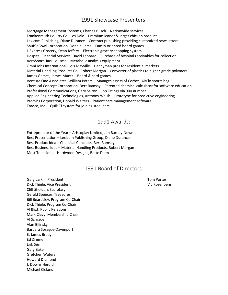Mortgage Management Systems, Charles Busch – Nationwide services Frankenmuth Poultry Co., Les Dale – Premium leaner & larger chicken product Lexicom Publishing, Diane Durance – Contract publishing providing customized newsletters ShuffleBowl Corporation, Donald Iiams – Family oriented board games L'Express Grocery, Dean Jeffery – Electronic grocery shopping system Hospital Financial Services, David Leonard – Purchase of hospital receivables for collection AeroSport, Jack Lousma – Metabolic analysis equipment Omni Jobs International, Lois Mayville – Handyman pros for residential markets Material Handling Products Co., Robert Morgan – Converter of plastics to higher-grade polymers James Games, James Muntz – Board & card games Venture One Associates, William Peters – Manages assets of Corbes, AirFlo sports bag Chemical Concept Corporation, Bert Ramsay – Patented chemical calculator for software education Professional Communications, Gary Salton – Job listings via 900 number Applied Engineering Technologies, Anthony Walsh – Prototype for predictive engineering Promics Corporation, Donald Walters – Patient care management software Tradco, Inc. – Quik-Ti system for joining steel bars

#### 1991 Awards:

Entrepreneur of the Year – Aristoplay Limited, Jan Barney-Newman Best Presentation – Lexicom Publishing Group, Diane Durance Best Product Idea – Chemical Concepts, Bert Ramsey Best Business Idea – Material Handling Products, Robert Morgan Most Tenacious – Hardwood Designs, Bette Diem

#### 1991 Board of Directors:

Gary Larkin, President Tom Porter Tom Porter Dick Thiele, Vice President Vice Area and Vice Rosenberg Vice Rosenberg Cliff Sheldon, Secretary Gerald Spencer, Treasurer Bill Beardsley, Program Co-Chair Dick Thiele, Program Co-Chair Al Blixt, Public Relations Mark Clevy, Membership Chair Al Schrader Alan Bilinsky Barbara Sprague-Davenport E. James Brady Ed Zimmer Erik Serr Gary Baker Gretchen Waters Howard Diamond J. Downs Herold Michael Cleland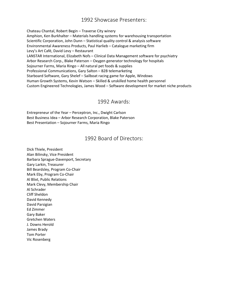Chateau Chantal, Robert Begin – Traverse City winery Amphion, Ken Burkhalter – Materials handling systems for warehousing transportation Scientific Corporation, John Dunn – Statistical quality control & analysis software Environmental Awareness Products, Paul Harlieb – Catalogue marketing firm Levy's Art Café, David Levy – Restaurant LANSTAR International, Elizabeth Nofs – Clinical Data Management software for psychiatry Arbor Research Corp., Blake Paterson – Oxygen generator technology for hospitals Sojourner Farms, Maria Ringo – All natural pet foods & supplies Professional Communications, Gary Salton – B2B telemarketing Starboard Software, Gary Shelef – Sailboat racing game for Apple, Windows Human Growth Systems, Kevin Watson – Skilled & unskilled home health personnel Custom Engineered Technologies, James Wood – Software development for market niche products

#### 1992 Awards:

Entrepreneur of the Year – Perceptron, Inc., Dwight Carlson Best Business Idea – Arbor Research Corporation, Blake Paterson Best Presentation – Sojourner Farms, Maria Ringo

#### 1992 Board of Directors:

Dick Thiele, President Alan Bilinsky, Vice President Barbara Sprague-Davenport, Secretary Gary Larkin, Treasurer Bill Beardsley, Program Co-Chair Mark Eby, Program Co-Chair Al Blixt, Public Relations Mark Clevy, Membership Chair Al Schrader Cliff Sheldon David Kennedy David Parsigian Ed Zimmer Gary Baker Gretchen Waters J. Downs Herold James Brady Tom Porter Vic Rosenberg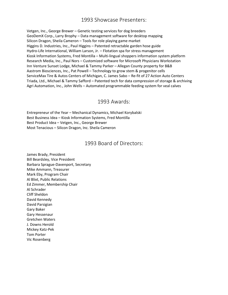Vetgen, Inc., George Brewer – Genetic testing services for dog breeders GeoDemX Corp., Larry Brophy – Data management software for desktop mapping Silicon Dragon, Sheila Cameron – Tools for role playing game market Higgins D. Industries, Inc., Paul Higgins – Patented retractable garden hose guide Hydro-Life International, William Larson, Jr. – Flotation spa for stress management Kiosk Information Systems, Fred Montilla – Multi-lingual shoppers information system platform Research Media, Inc., Paul Nors – Customized software for Microsoft Physicians Workstation Inn Venture Sunset Lodge, Michael & Tammy Parker – Allegan County property for B&B Aastrom Biosciences, Inc., Pat Powell – Technology to grow stem & progenitor cells ServiceMax Tire & Autos Centers of Michigan, C. James Sabo – Re-fit of 27 Action Auto Centers Triada, Ltd., Michael & Tammy Safford – Patented tech for data compression of storage & archiving Agri Automation, Inc., John Wells – Automated programmable feeding system for veal calves

#### 1993 Awards:

Entrepreneur of the Year – Mechanical Dynamics, Michael Korybalski Best Business Idea – Kiosk Information Systems, Fred Montilla Best Product Idea – Vetgen, Inc., George Brewer Most Tenacious – Silicon Dragon, Inc. Sheila Cameron

#### 1993 Board of Directors:

James Brady, President Bill Beardsley, Vice President Barbara Sprague-Davenport, Secretary Mike Ammann, Treasurer Mark Eby, Program Chair Al Blixt, Public Relations Ed Zimmer, Membership Chair Al Schrader Cliff Sheldon David Kennedy David Parsigian Gary Baker Gary Hessenaur Gretchen Waters J. Downs Herold Mickey Katz-Pek Tom Porter Vic Rosenberg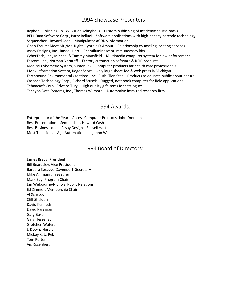Ryphon Publishing Co., Wukkuan Arlinghaus – Custom publishing of academic course packs BELL Data Software Corp., Barry Belluci – Software applications with high-density barcode technology Sequencher, Howard Cash – Manipulator of DNA information Open Forum: Meet Mr./Ms. Right, Cynthia D-Amour – Relationship counseling locating services Assay Designs, Inc., Russell Hart – Chemiluminescent immunoassay kits CyberTech, Inc., Michael & Tammy Mansfield – Multimedia computer system for law enforcement Fascom, Inc., Norman Nazaroff – Factory automation software & RFID products Medical Cybernetic System, Sumer Pek – Computer products for health care professionals I-Max Information System, Roger Short – Only large sheet-fed & web press in Michigan Earthbound Environmental Creations, Inc., Ruth Ellen Stec – Products to educate public about nature Cascade Technology Corp., Richard Stusek – Rugged, notebook computer for field applications Tehnacraft Corp., Edward Tury – High quality gift items for catalogues Tachyon Data Systems, Inc., Thomas Wilmoth – Automotive infra-red research firm

#### 1994 Awards:

Entrepreneur of the Year – Access Computer Products, John Drennan Best Presentation – Sequencher, Howard Cash Best Business Idea – Assay Designs, Russell Hart Most Tenacious – Agri Automation, Inc., John Wells

#### 1994 Board of Directors:

James Brady, President Bill Beardsley, Vice President Barbara Sprague-Davenport, Secretary Mike Ammann, Treasurer Mark Eby, Program Chair Jan Welbourne-Nichols, Public Relations Ed Zimmer, Membership Chair Al Schrader Cliff Sheldon David Kennedy David Parsigian Gary Baker Gary Hessenaur Gretchen Waters J. Downs Herold Mickey Katz-Pek Tom Porter Vic Rosenberg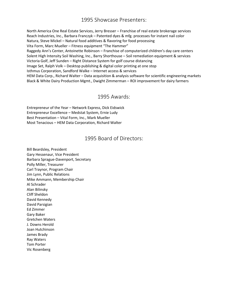North America One Real Estate Services, Jerry Bresser – Franchise of real estate brokerage services Reach Industries, Inc., Barbara Franczyk – Patented dyes & mfg. processes for instant nail color Natura, Steve Mickel – Natural food additives & flavoring for food processing Vita Form, Marc Mueller – Fitness equipment "The Hammer" Raggedy Ann's Center, Antoinette Robinson – Franchise of computerized children's day care centers Solent High Intensity Soil Washing, Inc., Barry Shorthouse – Soil remediation equipment & services Victoria Golf, Jeff Sunden – Right Distance System for golf course distancing Image Set, Ralph Volk – Desktop publishing & digital color printing at one stop Isthmus Corporation, Sandford Walke – Internet access & services HEM Data Corp., Richard Walter – Data acquisition & analysis software for scientific engineering markets Black & White Dairy Production Mgmt., Dwight Zimmerman – ROI improvement for dairy farmers

#### 1995 Awards:

Entrepreneur of the Year – Network Express, Dick Eidswick Entrepreneur Excellence – Medstat System, Ernie Ludy Best Presentation – Vital Form, Inc., Mark Mueller Most Tenacious – HEM Data Corporation, Richard Walter

#### 1995 Board of Directors:

Bill Beardsley, President Gary Hessenaur, Vice President Barbara Sprague-Davenport, Secretary Polly Miller, Treasurer Carl Traynor, Program Chair Jim Lynn, Public Relations Mike Ammann, Membership Chair Al Schrader Alan Bilinsky Cliff Sheldon David Kennedy David Parsigian Ed Zimmer Gary Baker Gretchen Waters J. Downs Herold Joan Hutchinson James Brady Ray Waters Tom Porter Vic Rosenberg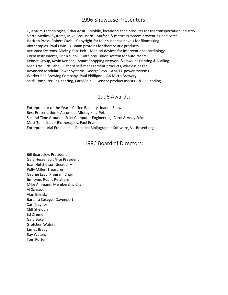Quantum Technologies, Brian Adsit – Mobile, locational tech products for the transportation industry Sierra Medical Systems, Mike Broussard – Surface & mattress system preventing bed sores Horizon Press, Robert Cavis – Copyright for four suspense novels for filmmaking Biotherapies, Paul Ervin – Human proteins for therapeutic products Accumed Systems, Mickey Katz-Pek – Medical devices for interventional cardiology Corsa Instruments, Eric Kauppi – Data acquisition system for auto racers Kennet Group, Kevin Kennet – Smart Shopping Network & Hawkins Printing & Mailing MediTrac, Eric Labe – Patient self-management products, wireless pager Advanced Modular Power Systems, George Levy – AMTEC power systems Worker Bee Brewing Company, Paul Phillipon – AA Micro Brewery Seidl Computer Engineering, Carol Seidl – Genitor product assists C & C++ coding

#### 1996 Awards:

Entrepreneur of the Year – Coffee Beanery, Joanne Shaw Best Presentation – Accumed, Mickey Katz-Pek Second Time Around – Seidl Computer Engineering, Carol & Andy Seidl Most Tenacious – Biotherapies, Paul Ervin Entrepreneurial Excellence – Personal Bibliographic Software, Vic Rosenberg

#### 1996 Board of Directors:

Bill Beardsley, President Gary Hessenaur, Vice President Joan Hutchinson, Secretary Polly Miller, Treasurer George Levy, Program Chair Jim Lynn, Public Relations Mike Ammann, Membership Chair Al Schrader Alan Bilinsky Barbara Sprague-Davenport Carl Traynor Cliff Sheldon Ed Zimmer Gary Baker Gretchen Waters James Brady Ray Waters Tom Porter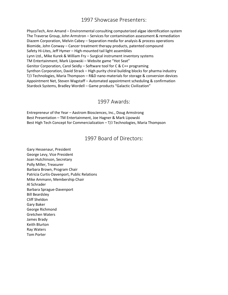PhycoTech, Ann Amand – Environmental consulting computerized algae identification system The Traverse Group, John Armstron – Services for contamination assessment & remediation Diazem Corporation, Melvin Cabey – Separation media for analysis & process operations Biomide, John Conway – Cancer treatment therapy products, patented compound Safety Hi-Lites, Jeff Hymer – High-mounted tail light assemblies Lynn Ltd., Mike Kurek & William Fry – Surgical instrument inventory systems TM Entertainment, Mark Lipowski – Website game "Hot Seat" Genitor Corporation, Carol Seidly – Software tool for C & C++ programing Synthon Corporation, David Strack – High purity chiral building blocks for pharma industry T/J Technologies, Maria Thompson – R&D nano-materials for storage & conversion devices Appointment Net, Steven Wagstaff – Automated appointment scheduling & confirmation Stardock Systems, Bradley Wordell – Game products "Galactic Civilization"

#### 1997 Awards:

Entrepreneur of the Year – Aastrom Biosciences, Inc., Doug Armstrong Best Presentation – TM Entertainment, Joe Hagner & Mark Lipowski Best High Tech Concept for Commercialization – T/J Technologies, Maria Thompson

#### 1997 Board of Directors:

Gary Hessenaur, President George Levy, Vice President Joan Hutchinson, Secretary Polly Miller, Treasurer Barbara Brown, Program Chair Patricia Curtis-Davenport, Public Relations Mike Ammann, Membership Chair Al Schrader Barbara Sprague-Davenport Bill Beardsley Cliff Sheldon Gary Baker George Richmond Gretchen Waters James Brady Keith Blurton Ray Waters Tom Porter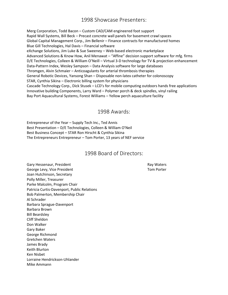Merg Corporation, Todd Bacon – Custom CAD/CAM engineered foot support Rapid Wall Systems, Bill Beck – Precast concrete wall panels for basement crawl spaces Global Capital Management Corp., Jim Bellenir – Finance contracts for manufactured homes Blue Gill Technologies, Hal Davis – Financial software eXchange Solutions, Jim Luke & Sue Sweeney – Web-based electronic marketplace Advanced Solutions & Know How, Anil Menawat – "Affine" decision support software for mfg. firms D/E Technologies, Colleen & William O'Neill – Virtual 3-D technology for TV & projection enhancement Data-Pattern Index, Wesley Sampson – Data Analysis software for large databases Thromgen, Alvin Schmaier – Anticoagulants for arterial thrombosis therapies General Robotic Devices, Yansong Shan – Disposable non-latex catheter for colonoscopy STAR, Cynthia Sikina – Electronic billing system for physicians Cascade Technology Corp., Dick Stusek – LCD's for mobile computing outdoors hands free applications Innovative building Components, Larry Ward – Polymer porch & deck spindles, vinyl railing Bay Port Aquacultural Systems, Forest Williams – Yellow perch aquaculture facility

#### 1998 Awards:

Entrepreneur of the Year – Supply Tech Inc., Ted Annis Best Presentation – D/E Technologies, Colleen & William O'Neil Best Business Concept – STAR Ron Hirscht & Cynthia Sikina The Entrepreneurs Entrepreneur – Tom Porter, 13 years of NEF service

#### 1998 Board of Directors:

Gary Hessenaur, President **Ray Waters** Ray Waters George Levy, Vice President Tom Porter Tom Porter Joan Hutchinson, Secretary Polly Miller, Treasurer Parke Malcolm, Program Chair Patricia Curtis-Davenport, Public Relations Bob Palmerton, Membership Chair Al Schrader Barbara Sprague-Davenport Barbara Brown Bill Beardsley Cliff Sheldon Don Walker Gary Baker George Richmond Gretchen Waters James Brady Keith Blurton Ken Nisbet Lorraine Hendrickson-Uhlander Mike Ammann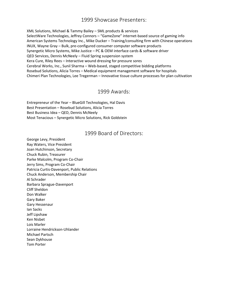XML Solutions, Michael & Tammy Bailey – SML products & services SelectWare Technologies, Jeffrey Connors – "GameZone" internet-based source of gaming info American Systems Technology Inc., Mike Ducker – Training/consulting firm with Chinese operations INUX, Wayne Gray – Bulk, pre-configured consumer computer software products Synergetic Micro Systems, Mike Justice – PC & OEM interface cards & software driver QED Services, Dennis McNeely – Fluid Spring suspension system Kera Cure, Riley Rees – Interactive wound dressing for pressure sores Cerebral Works, Inc., Sunil Sharma – Web-based, staged competitive bidding platforms Rosebud Solutions, Alicia Torres – Medical equipment management software for hospitals Chimeri Plan Technologies, Lee Tregerman – Innovative tissue culture processes for plan cultivation

#### 1999 Awards:

Entrepreneur of the Year – BlueGill Technologies, Hal Davis Best Presentation – Rosebud Solutions, Alicia Torres Best Business Idea – QED, Dennis McNeely Most Tenacious – Synergetic Micro Solutions, Rick Goldstein

#### 1999 Board of Directors:

George Levy, President Ray Waters, Vice President Joan Hutchinson, Secretary Chuck Rubin, Treasurer Parke Malcolm, Program Co-Chair Jerry Sims, Program Co-Chair Patricia Curtis-Davenport, Public Relations Chuck Anderson, Membership Chair Al Schrader Barbara Sprague-Davenport Cliff Sheldon Don Walker Gary Baker Gary Hessenaur Ian Sacks Jeff Lipshaw Ken Nisbet Lois Marler Lorraine Hendrickson-Uhlander Michael Partsch Sean Dykhouse Tom Porter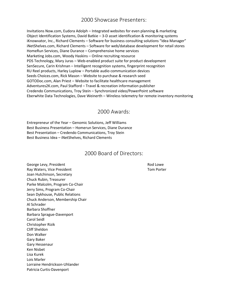Invitations Now.com, Eudora Adolph – Integrated websites for even planning & marketing Object Identification Systems, David Batkie – 3-D asset identification & monitoring systems iKnowvator, Inc., Richard Clements - Software for business consulting solutions "Idea Manager" iNetShelves.com, Richard Clements – Software for web/database development for retail stores HomeRun Services, Diane Durance – Comprehensive home services Marketing Jobs.com, Woody Haskins – Online recruiting resource PDS Technology, Mary Juras – Web-enabled product suite for product development SenSecure, Carin Krishnan – Intelligent recognition systems, fingerprint recognition RU Reel products, Harley Luplow – Portable audio communication devices Seeds Choices.com, Rick Mason – Website to purchase & research seed GOTODoc.com, Alan Priest – Website to facilitate healthcare management Adventures2K.com, Paul Stafford – Travel & recreation information publisher Credendo Communications, Troy Stein – Synchronized video/PowerPoint software Eberwhite Data Technologies, Dave Weinerth – Wireless telemetry for remote inventory monitoring

#### 2000 Awards:

Entrepreneur of the Year – Genomic Solutions, Jeff Williams Best Business Presentation – Homerun Services, Diane Durance Best Presentation – Credendo Communications, Troy Stein Best Business Idea – iNetShelves, Richard Clements

#### 2000 Board of Directors:

George Levy, President **Rod Lowe** Control of the Rod Lowe Rod Lowe Ray Waters, Vice President Tom Porter Tom Porter Joan Hutchinson, Secretary Chuck Rubin, Treasurer Parke Malcolm, Program Co-Chair Jerry Sims, Program Co-Chair Sean Dykhouse, Public Relations Chuck Anderson, Membership Chair Al Schrader Barbara Shoffner Barbara Sprague-Davenport Carol Seidl Christopher Rizik Cliff Sheldon Don Walker Gary Baker Gary Hessenaur Ken Nisbet Lisa Kurek Lois Marler Lorraine Hendrickson-Uhlander Patricia Curtis-Davenport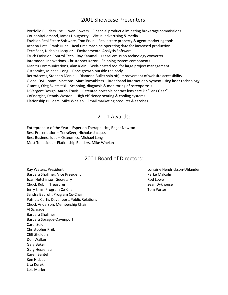Portfolio Builders, Inc., Owen Bowers – Financial product eliminating brokerage commissions CouponByDemand, James Dougherty – Virtual advertising & media Envision Real Estate Software, Tom Ervin – Real estate property & agent marketing tools Athena Data, Frank Hunt – Real time machine operating date for increased production TerraSeer, Nicholas Jacquez – Environmental Analysis Software Truck Emission Control Tech., Ray Kammel – Diesel emission technology converter Intermodal Innovations, Christopher Kazor – Shipping system components Manitu Communications, Alan Klein – Web-hosted tool for large project management Osteomics, Michael Long – Bone growth outside the body RetroAccess, Stephen Markel – Diamond Bullet spin off, improvement of website accessibility Global DSL Communications, Matt Rooyakkers – Broadband internet deployment using laser technology Osantis, Oleg Svintsitski – Scanning, diagnosis & monitoring of osteoporosis D'Vergent Design, Aaron Travis – Patented portable contact lens care kit "Lens Gear" CoEnergies, Dennis Weston – High efficiency heating & cooling systems Elationship Builders, Mike Whelan – Email marketing products & services

#### 2001 Awards:

Entrepreneur of the Year – Esperion Therapeutics, Roger Newton Best Presentation – TerraSeer, Nicholas Jacquez Best Business Idea – Osteomics, Michael Long Most Tenacious – Elationship Builders, Mike Whelan

#### 2001 Board of Directors:

Ray Waters, President Lorraine Hendrickson-Uhlander Barbara Shoffner, Vice President **Parke Malcolm** Parke Malcolm Joan Hutchinson, Secretary **Rod Lowe** Rod Lowe Chuck Rubin, Treasurer Sean Dykhouse Chuck Rubin, Treasurer Sean Dykhouse Jerry Sims, Program Co-Chair The Communication of the Communication of the Communication of Tom Porter Sandra Babroff, Program Co-Chair Patricia Curtis-Davenport, Public Relations Chuck Anderson, Membership Chair Al Schrader Barbara Shoffner Barbara Sprague-Davenport Carol Seidl Christopher Rizik Cliff Sheldon Don Walker Gary Baker Gary Hessenaur Karen Bantel Ken Nisbet Lisa Kurek Lois Marler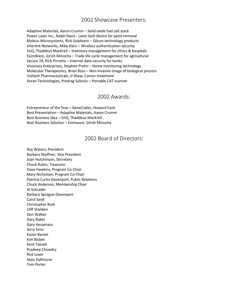Adaptive Materials, Aaron Crumm – Solid oxide fuel cell stack Power Laser Inc., Ralph Davis - Laser tech device for paint removal Mobius Microsystems, Rick Goldstein – Silicon technology products Interlink Networks, Mike Klein – Wireless authentication security 5nQ, Thaddeus MacKrell – Inventory management for clinics & hospitals EximWare, Girish Minocha – Trade life cycle management for agricultural Secure 24, Rich Pirrotta – Internet data security for banks Visionary Enterprises, Stephen Prehn – Home monitoring technology Molecular Therapeutics, Brian Ross – Non-invasive image of biological process Unitech Pharmaceuticals, JJ Shaw, Cancer treatment Xoran Technologies, Predrag Sukovic – Portable CAT scanner

#### 2002 Awards:

Entrepreneur of the Year – GeneCodes, Howard Cash Best Presentation – Adaptive Materials, Aaron Crumm Best Business Idea – 5nQ, Thaddeus MacKrell Best Business Solution – Eximware, Girish Minocha

#### 2002 Board of Directors:

Ray Waters, President Barbara Shoffner, Vice President Joan Hutchinson, Secretary Chuck Rubin, Treasurer Dave Hawkins, Program Co-Chair Mary Nicholson, Program Co-Chair Patricia Curtis-Davenport, Public Relations Chuck Anderson, Membership Chair Al Schrader Barbara Sprague-Davenport Carol Seidl Christopher Rizik Cliff Sheldon Don Walker Gary Baker Gary Hessenaur Jerry Sims Karen Bantel Ken Nisbet Kent Talcott Pradeep Chowdry Rod Lowe Sean Dykhouse Tom Porter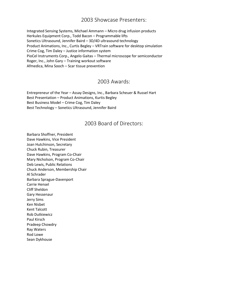Integrated Sensing Systems, Michael Ammann – Micro drug infusion products Herkules Equipment Corp., Todd Bacon – Programmable lifts Sonetics Ultrasound, Jennifer Baird – 3D/4D ultrasound technology Product Animations, Inc., Curtis Begley – VRTrain software for desktop simulation Crime Cog, Tim Daley – Justice information system PioCel Instruments Corp., Angelo Gaitas – Thermal microscope for semiconductor Roger, Inc., John Gary – Training workout software Afmedica, Mina Sooch – Scar tissue prevention

#### 2003 Awards:

Entrepreneur of the Year – Assay Designs, Inc., Barbara Scheuer & Russel Hart Best Presentation – Product Animations, Kurtis Begley Best Business Model – Crime Cog, Tim Daley Best Technology – Sonetics Ultrasound, Jennifer Baird

#### 2003 Board of Directors:

Barbara Shoffner, President Dave Hawkins, Vice President Joan Hutchinson, Secretary Chuck Rubin, Treasurer Dave Hawkins, Program Co-Chair Mary Nicholson, Program Co-Chair Deb Lewis, Public Relations Chuck Anderson, Membership Chair Al Schrader Barbara Sprague-Davenport Carrie Hensel Cliff Sheldon Gary Hessenaur Jerry Sims Ken Nisbet Kent Talcott Rob Dutkiewicz Paul Kirsch Pradeep Chowdry Ray Waters Rod Lowe Sean Dykhouse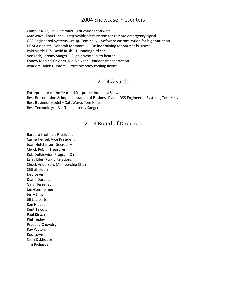Campus K 12, Phil Cammillo – Educations software XataWave, Tom Hines – Deployable alert system for remote emergency signal QSS Engineered Systems Group, Tom Kelly – Software customization for high variation DCM Associate, Deborah Marmarelli – Online training for hazmat business Palo Verde ETS, David Rush – Hummingbird car VenTech, Jeremy Sanger – Supplemental auto heater Ennew Medical Devices, Mel Valkner – Patient transportation AvaCore, Allen Dumont – Portable body cooling device

#### 2004 Awards:

Entrepreneur of the Year – i3Statprobe, Inc., Lora Schwab Best Presentation & Implementation of Business Plan – QSS Engineered Systems, Tom Kelly Best Business Model – XataWave, Tom Hines Best Technology – VenTech, Jeremy Sanger

#### 2004 Board of Directors:

Barbara Shoffner, President Carrie Hensel, Vice President Joan Hutchinson, Secretary Chuck Rubin, Treasurer Rob Dutkiewicz, Program Chair Larry Eiler, Public Relations Chuck Anderson, Membership Chair Cliff Sheldon Deb Lewis Diane Durance Gary Hessenaur Jan Gensheimer Jerry Sims Jill LaLiberte Ken Nisbet Kent Talcott Paul Kirsch Phil Tepley Pradeep Chowdry Ray Waters Rod Lowe Sean Dykhouse Tim Richards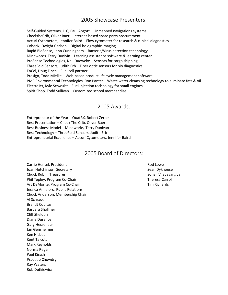Self-Guided Systems, LLC, Paul Angott – Unmanned navigations systems ChecktheCrib, Oliver Baer – Internet-based spare parts procurement Accuri Cytometers, Jennifer Baird – Flow cytometer for research & clinical diagnostics Coherix, Dwight Carlson – Digital holographic imaging Rapid BioSense, John Cunningham – Bacteria/Virus detection technology Mindwords, Terry Dunivin – Learning assistance software & learning center ProSense Technologies, Neil Dueweke – Sensors for cargo shipping ThreeFold Sensors, Judith Erb – Fiber optic sensors for bio diagnostics EnCel, Doug Finch – Fuel cell partner Presign, Todd Mielke – Web-based product life cycle management software PMC Environmental Technologies, Ron Panter – Waste water cleansing technology to eliminate fats & oil ElectroJet, Kyle Schwulst – Fuel injection technology for small engines Spirit Shop, Todd Sullivan – Customized school merchandise

#### 2005 Awards:

Entrepreneur of the Year – QuatRX, Robert Zerbe Best Presentation – Check The Crib, Oliver Baer Best Business Model – Mindworks, Terry Dunivan Best Technology – ThreeFold Sensors, Judith Erb Entrepreneurial Excellence – Accuri Cytometers, Jennifer Baird

#### 2005 Board of Directors:

Carrie Hensel, President **Rod Lowe** Rod Lowe Joan Hutchinson, Secretary Sean Dykhouse Sean Dykhouse Chuck Rubin, Treasurer Sonali Vijayavargiya Phil Tepley, Program Co-Chair Theresa Carroll Communist Communist Communist Communist Communist Communist Communist Communist Communist Communist Communist Communist Communist Communist Communist Communist Communist Commun Art DeMonte, Program Co-Chair Tim Richards Jessica Annaloro, Public Relations Chuck Anderson, Membership Chair Al Schrader Brandt Coultas Barbara Shoffner Cliff Sheldon Diane Durance Gary Hessenaur Jan Gensheimer Ken Nisbet Kent Talcott Mark Reynolds Norma Regan Paul Kirsch Pradeep Chowdry Ray Waters Rob Dutkiewicz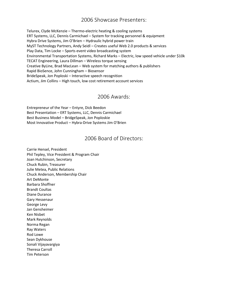Telurex, Clyde McKenzie – Thermo-electric heating & cooling systems ERT Systems, LLC, Dennis Carmichael – System for tracking personnel & equipment Hybra Drive Systems, Jim O'Brien – Hydraulic hybrid power train MyST Technology Partners, Andy Seidl – Creates useful Web 2.0 products & services Play Data, Tim Locke – Sports event video broadcasting system Environmental Transportation Systems, Richard Marks – Electric, low speed vehicle under \$10k TECAT Engineering, Laura Dillman – Wireless torque sensing Creative ByLine, Brad MacLean – Web system for matching authors & publishers Rapid BioSence, John Cunningham – Biosensor BrideSpeak, Jon Poploski – Interactive speech recognition Actium, Jim Collins – High touch, low cost retirement account services

#### 2006 Awards:

Entrepreneur of the Year – Entyre, Dick Beedon Best Presentation – ERT Systems, LLC, Dennis Carmichael Best Business Model – BridgeSpeak, Jon Poploskie Most Innovative Product – Hybra-Drive Systems Jim O'Brien

#### 2006 Board of Directors:

Carrie Hensel, President Phil Tepley, Vice President & Program Chair Joan Hutchinson, Secretary Chuck Rubin, Treasurer Julie Metea, Public Relations Chuck Anderson, Membership Chair Art DeMonte Barbara Shoffner Brandt Coultas Diane Durance Gary Hessenaur George Levy Jan Gensheimer Ken Nisbet Mark Reynolds Norma Regan Ray Waters Rod Lowe Sean Dykhouse Sonali Vijayavargiya Theresa Carroll Tim Peterson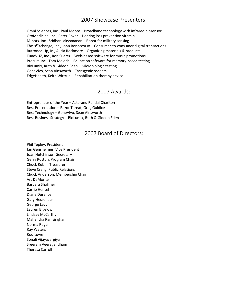Omni Sciences, Inc., Paul Moore – Broadband technology with infrared biosensor OtoMedicine, Inc., Peter Boxer – Hearing loss prevention vitamin M-bots, Inc., Sridhar Lakshmanan – Robot for military sensing The  $9<sup>th</sup>Xchange$ , Inc., John Bonaccorso – Consumer-to-consumer digital transactions Buttoned Up, In., Alicia Rockmore – Organizing materials & products TuneVUZ, Inc., Ron Suarez – Web-based software for music promotions Procuit, Inc., Tom Meloch – Education software for memory-based testing BioLumix, Ruth & Gideon Eden – Microbiologic testing GeneVivo, Sean Ainsworth – Transgenic rodents EdgeHealth, Keith Wittrup – Rehabilitation therapy device

#### 2007 Awards:

Entrepreneur of the Year – Asterand Randal Charlton Best Presentation – Razor Threat, Greg Guidice Best Technology – GeneVivo, Sean Ainsworth Best Business Strategy – BioLumix, Ruth & Gideon Eden

#### 2007 Board of Directors:

Phil Tepley, President Jan Gensheimer, Vice President Joan Hutchinson, Secretary Gerry Roston, Program Chair Chuck Rubin, Treasurer Steve Crang, Public Relations Chuck Anderson, Membership Chair Art DeMonte Barbara Shoffner Carrie Hensel Diane Durance Gary Hessenaur George Levy Lauren Bigelow Lindsay McCarthy Mahendra Ramsinghani Norma Regan Ray Waters Rod Lowe Sonali Vijayavargiya Sreeram Veeragandham Theresa Carroll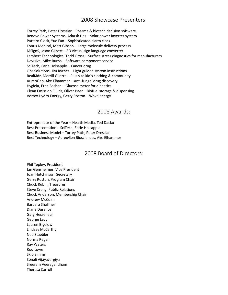Torrey Path, Peter Dresslar – Pharma & biotech decision software Renovo Power Systems, Adarsh Das – Solar power inverter system Pattern Clock, Yue Fan – Sophisticated alarm clock Fontis Medical, Matt Gibson – Large molecule delivery process MSignS, Jason Gilbert – 3D virtual sign language converter Lambert Technologies, Todd Gross – Surface stress diagnostics for manufacturers DevHive, Mike Burba – Software component service SciTech, Earle Holsapple – Cancer drug Ops Solutions, Jim Ryzner – Light guided system instructions RealKidz, Merrill Guerra – Plus size kid's clothing & community AureoGen, Ake Elhammer – Anti-fungal drug discovery Hygieia, Eran Bashan – Glucose meter for diabetics Clean Emission Fluids, Oliver Baer – Biofuel storage & dispensing Vortex Hydro Energy, Gerry Roston – Wave energy

#### 2008 Awards:

Entrepreneur of the Year – Health Media, Ted Dacko Best Presentation – SciTech, Earle Holsapple Best Business Model – Torrey Path, Peter Dresslar Best Technology – AureoGen Biosciences, Ake Elhammer

#### 2008 Board of Directors:

Phil Tepley, President Jan Gensheimer, Vice President Joan Hutchinson, Secretary Gerry Roston, Program Chair Chuck Rubin, Treasurer Steve Crang, Public Relations Chuck Anderson, Membership Chair Andrew McColm Barbara Shoffner Diane Durance Gary Hessenaur George Levy Lauren Bigelow Lindsay McCarthy Ned Staebler Norma Regan Ray Waters Rod Lowe Skip Simms Sonali Vijayavargiya Sreeram Veeragandham Theresa Carroll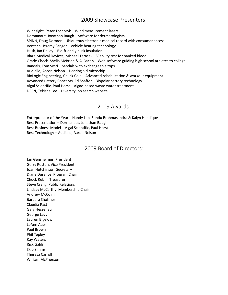Windsight, Peter Tochoryk – Wind measurement lasers Dermanaut, Jonathan Baugh – Software for dermatologists SPINN, Doug Dormer – Ubiquitous electronic medical record with consumer access Ventech, Jeremy Sanger – Vehicle heating technology Husk, Ian Dailey – Bio-friendly husk insulation Blaze Medical Devices, Michael Tarasev – Viability test for banked blood Grade Check, Shelia McBride & Al Bacon – Web software guiding high school athletes to college Bandals, Tom Sesti – Sandals with exchangeable tops Audiallo, Aaron Nelson – Hearing aid microchip BioLogic Engineering, Chuck Cole – Advanced rehabilitation & workout equipment Advanced Battery Concepts, Ed Shaffer – Biopolar battery technology Algal Scientific, Paul Horst – Algae-based waste water treatment DEEN, Tekisha Lee – Diversity job search website

#### 2009 Awards:

Entrepreneur of the Year – Handy Lab, Sundu Brahmasandra & Kalyn Handique Best Presentation – Dermanaut, Jonathan Baugh Best Business Model – Algal Scientific, Paul Horst Best Technology – Audiallo, Aaron Nelson

#### 2009 Board of Directors:

Jan Gensheimer, President Gerry Roston, Vice President Joan Hutchinson, Secretary Diane Durance, Program Chair Chuck Rubin, Treasurer Steve Crang, Public Relations Lindsay McCarthy, Membership Chair Andrew McColm Barbara Shoffner Claudia Rast Gary Hessenaur George Levy Lauren Bigelow LeAnn Auer Paul Brown Phil Tepley Ray Waters Rick Galdi Skip Simms Theresa Carroll William McPherson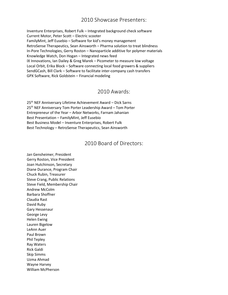Inventure Enterprises, Robert Fulk – Integrated background check software Current Motor, Peter Scott – Electric scooter FamilyMint, Jeff Eusebio – Software for kid's money management RetroSense Therapeutics, Sean Ainsworth – Pharma solution to treat blindness In-Pore Technologies, Gerry Roston – Nanoparticle additive for polymer materials Knowledge Watch, Don Hogan – Integrated news feed IX Innovations, Ian Dailey & Greg Marek – Picometer to measure low voltage Local Orbit, Erika Block – Software connecting local food growers & suppliers SendGCash, Bill Clark – Software to facilitate inter-company cash transfers GPX Software, Rick Goldstein – Financial modeling

#### 2010 Awards:

25th NEF Anniversary Lifetime Achievement Award – Dick Sarns 25<sup>th</sup> NEF Anniversary Tom Porter Leadership Award – Tom Porter Entrepreneur of the Year – Arbor Networks, Farnam Jahanian Best Presentation – FamilyMint, Jeff Eusebio Best Business Model – Inventure Enterprises, Robert Fulk Best Technology – RetroSense Therapeutics, Sean Ainsworth

#### 2010 Board of Directors:

Jan Gensheimer, President Gerry Roston, Vice President Joan Hutchinson, Secretary Diane Durance, Program Chair Chuck Rubin, Treasurer Steve Crang, Public Relations Steve Field, Membership Chair Andrew McColm Barbara Shoffner Claudia Rast David Ruby Gary Hessenaur George Levy Helen Ewing Lauren Bigelow LeAnn Auer Paul Brown Phil Tepley Ray Waters Rick Galdi Skip Simms Uzma Ahmad Wayne Harvey William McPherson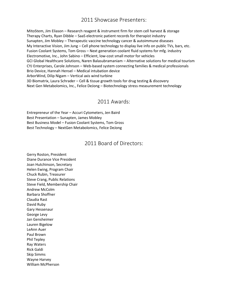MitoStem, Jim Eliason – Research reagent & instrument firm for stem cell harvest & storage Therapy Charts, Ryan Dibble – SaaS electronic patient records for therapist industry Sunapten, Jim Mobley – Therapeutic vaccine technology cancer & autoimmune diseases My Interactive Vision, Jim Jung – Cell phone technology to display live info on public TVs, bars, etc. Fusion Coolant Systems, Tom Gross – Next generation coolant fluid systems for mfg. industry Electromotive, Inc., John Sabino – Efficient, low-cost small motor for vehicles GCI Global Healthcare Solutions, Naren Balasubramaniam – Alternative solutions for medical tourism CYJ Enterprises, Carole Johnson – Web-based system connecting families & medical professionals Brio Device, Hannah Hensel – Medical intubation device ArborWind, Dilip Nigam – Vertical axis wind turbine 3D Biomatrix, Laura Schrader – Cell & tissue growth tools for drug testing & discovery Next Gen Metabolomics, Inc., Felice DeJong – Biotechnology stress measurement technology

#### 2011 Awards:

Entrepreneur of the Year – Accuri Cytometers, Jen Baird Best Presentation – Sunapten, James Mobley Best Business Model – Fusion Coolant Systems, Tom Gross Best Technology – NextGen Metabolomics, Felice DeJong

#### 2011 Board of Directors:

Gerry Roston, President Diane Durance Vice President Joan Hutchinson, Secretary Helen Ewing, Program Chair Chuck Rubin, Treasurer Steve Crang, Public Relations Steve Field, Membership Chair Andrew McColm Barbara Shoffner Claudia Rast David Ruby Gary Hessenaur George Levy Jan Gensheimer Lauren Bigelow LeAnn Auer Paul Brown Phil Tepley Ray Waters Rick Galdi Skip Simms Wayne Harvey William McPherson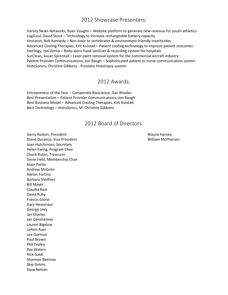Varsity News Networks, Ryan Vaughn – Website platform to generate new revenue for youth athletics LogiCoul, David Stout – Technology to increase rechargeable battery capacity Vestaron, Bob Kennedy – Non-toxic to vertebrates & environment-friendly insecticides Advanced Cooling Therapies, Eric Kulstad – Patient cooling technology to improve patient outcomes Sterilogy, Hal Zeima – Body-worn hand sanitizer & recording system for hospitals SurClean, Susan Sprentall – Laser paint removal system for the commercial aircraft industry Patient Provider Communications, Jon Baugh – Sophisticated patient to nurse communication system HistoSonics, Christine Gibbons - Prostatic histotripsy system

#### 2012 Awards:

Entrepreneur of the Year – Compendia Bioscience, Dan Rhodes Best Presentation – Patient Provider Communications, Jon Baugh Best Business Model – Advanced Cooling Therapies, Kirk Kulstad Best Technology – HistoSonics, M. Christine Gibbons

#### 2012 Board of Directors:

Gerry Roston, President National Wayne Harvey National Action of the Wayne Harvey Diane Durance, Vice President William McPherson Joan Hutchinson, Secretary Helen Ewing, Program Chair Chuck Rubin, Treasurer Steve Field, Membership Chair Alain Piette Andrew McColm Adrian Fortino Barbara Shoffner Bill Mayer Claudia Rast David Ruby Francis Glorie Gary Hessenaur George Levy Ian Charles Jan Gensheimer Lauren Bigelow LeAnn Auer Lee Gorman Paul Brown Phil Tepley Ray Waters Rick Galdi Shannon Beeman Skip Simms Stew Nelson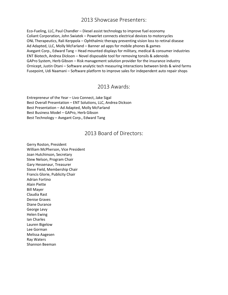Eco-Fueling, LLC, Paul Chandler – Diesel assist technology to improve fuel economy Coliant Corporation, John Swiatek – Powerlet connects electrical devices to motorcycles ONL Therapeutics, Rali Kerppola – Ophthalmic therapy preventing vision loss to retinal disease Ad Adapted, LLC, Molly McFarland – Banner ad apps for mobile phones & games Avegant Corp., Edward Tang – Head mounted displays for military, medical & consumer industries ENT Biotech, Andrea Dickson – Novel disposable tool for removing tonsils & adenoids GAPro System, Herb Gibson – Risk management solution provider for the insurance industry Ornicept, Justin Otani – Software analytic tech measuring interactions between birds & wind farms Fusepoint, Udi Naamani – Software platform to improve sales for independent auto repair shops

#### 2013 Awards:

Entrepreneur of the Year – Livo Connect, Jake Sigal Best Overall Presentation – ENT Solutions, LLC, Andrea Dickson Best Presentation – Ad Adapted, Molly McFarland Best Business Model – GAPro, Herb Gibson Best Technology – Avegant Corp., Edward Tang

#### 2013 Board of Directors:

Gerry Roston, President William McPherson, Vice President Joan Hutchinson, Secretary Stew Nelson, Program Chair Gary Hessenaur, Treasurer Steve Field, Membership Chair Francis Glorie, Publicity Chair Adrian Fortino Alain Piette Bill Mayer Claudia Rast Denise Graves Diane Durance George Levy Helen Ewing Ian Charles Lauren Bigelow Lee Gorman Melissa Aagesen Ray Waters Shannon Beeman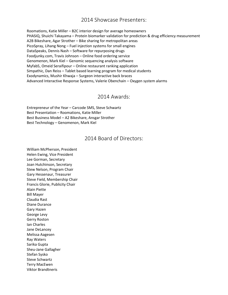Roomations, Katie Miller – B2C interior design for average homeowners PHASIQ, Shuichi Takayama – Protein biomarker validation for prediction & drug efficiency measurement A2B Bikeshare, Agar Strother – Bike sharing for metropolitan areas PicoSpray, Lihang Nong – Fuel injection systems for small engines DataSpeaks, Dennis Nash – Software for repurposing drugs Foodjunky.com, Travis Johnson – Online food ordering service Genomenon, Mark Kiel – Genomic sequencing analysis software Myfab5, Omeid Seraifipour – Online restaurant ranking application Simpathic, Dan Reiss – Tablet based learning program for medical students Exodynamics, Mushir Khwaja – Surgeon interactive back braces Advanced Interactive Response Systems, Valerie Obenchain – Oxygen system alarms

#### 2014 Awards:

Entrepreneur of the Year – Carcode SMS, Steve Schwartz Best Presentation – Roomations, Katie Miller Best Business Model – A2 Bikeshare, Ansgar Strother Best Technology – Genomenon, Mark Kiel

#### 2014 Board of Directors:

William McPherson, President Helen Ewing, Vice President Lee Gorman, Secretary Joan Hutchinson, Secretary Stew Nelson, Program Chair Gary Hessenaur, Treasurer Steve Field, Membership Chair Francis Glorie, Publicity Chair Alain Piette Bill Mayer Claudia Rast Diane Durance Gary Hazen George Levy Gerry Roston Ian Charles Jane DeLancey Melissa Aagesen Ray Waters Sarika Gupta Sheu-Jane Gallagher Stefan Sysko Steve Schwartz Terry MacEwen Viktor Brandtneris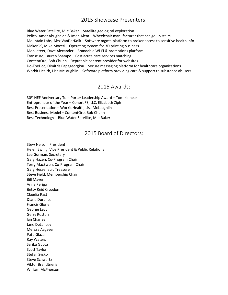Blue Water Satellite, Milt Baker – Satellite geological exploration Pelico, Amer Abughaida & Imen Alem – Wheelchair manufacturer that can go up stairs Mountain Labs, Alex VanDerKolk – Software mgmt. platform to broker access to sensitive health info MakerOS, Mike Moceri – Operating system for 3D printing business Mobileteer, Dave Alexander – Brandable Wi-Fi & promotions platform Transcuro, Lauren Shampo – Post acute care services matching ContentOro, Bob Chunn – Reputable content provider for websites Do-TheDoc, Dimitris Papageorgiou – Secure messaging platform for healthcare organizations Workit Health, Lisa McLaughlin – Software platform providing care & support to substance abusers

#### 2015 Awards:

30th NEF Anniversary Tom Porter Leadership Award – Tom Kinnear Entrepreneur of the Year – Cohort FS, LLC, Elizabeth Ziph Best Presentation – Workit Health, Lisa McLaughlin Best Business Model – ContentOro, Bob Chunn Best Technology – Blue Water Satellite, Milt Baker

#### 2015 Board of Directors:

Stew Nelson, President Helen Ewing, Vice President & Public Relations Lee Gorman, Secretary Gary Hazen, Co-Program Chair Terry MacEwen, Co-Program Chair Gary Hessenaur, Treasurer Steve Field, Membership Chair Bill Mayer Anne Perigo Betsy Reid Creedon Claudia Rast Diane Durance Francis Glorie George Levy Gerry Roston Ian Charles Jane DeLancey Melissa Aagesen Patti Glaza Ray Waters Sarika Gupta Scott Taylor Stefan Sysko Steve Schwartz Viktor Brandtneris William McPherson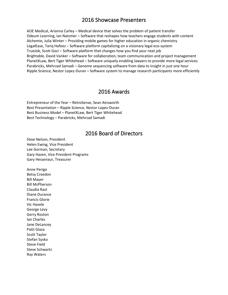AOE Medical, Arianna Carley – Medical device that solves the problem of patient transfer Odeum Learning, Ian Natzmer – Software that reshapes how teachers engage students with content Alchemie, Julia Winter – Providing mobile games for higher education in organic chemistry LegalEase, Tariq Hafeez – Software platform capitalizing on a visionary legal eco-system TrueJob, Scott Goci – Software platform that changes how you find your next job Brightable, David Vanker – Software for collaboration, team communication and project management PlanetXLaw, Bert Tiger Whitehead – Software uniquely enabling lawyers to provide more legal services Parabricks, Mehrzad Samadi – Genome sequencing software from data to insight in just one hour Ripple Science, Nestor Lopez-Duran – Software system to manage research participants more efficiently

#### 2016 Awards

Entrepreneur of the Year – RetroSense, Sean Ainsworth Best Presentation – Ripple Science, Nestor Lopez-Duran Best Business Model – PlanetXLaw, Bert Tiger Whitehead Best Technology – Parabricks, Mehrzad Samadi

#### 2016 Board of Directors

Stew Nelson, President Helen Ewing, Vice President Lee Gorman, Secretary Gary Hazen, Vice President Programs Gary Hessenaur, Treasurer

Anne Perigo Betsy Creedon Bill Mayer Bill McPherson Claudia Rast Diane Durance Francis Glorie Vic Havele George Levy Gerry Roston Ian Charles Jane DeLancey Patti Glaza Scott Taylor Stefan Sysko Steve Field Steve Schwartz Ray Waters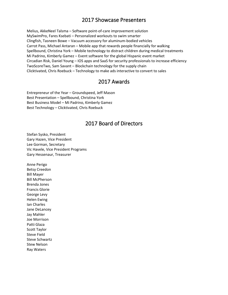Melius, AkkeNeel Talsma – Software point-of-care improvement solution MySwimPro, Fares Ksebati – Personalized workouts to swim smarter Clingfish, Tasneen Bowe – Vacuum accessory for aluminum-bodied vehicles Carrot Pass, Michael Antaran – Mobile app that rewards people financially for walking Spellbound, Christina York – Mobile technology to distract children during medical treatments Mi Padrino, Kimberly Gamez – Event software for the global Hispanic event market Circadian Risk, Daniel Young – IOS apps and SaaS for security professionals to increase efficiency TwoScoreTwo, Sam Savant – Blockchain technology for the supply chain Clicktivated, Chris Roebuck – Technology to make ads interactive to convert to sales

#### 2017 Awards

Entrepreneur of the Year – Groundspeed, Jeff Mason Best Presentation – Spellbound, Christina York Best Business Model – Mi Padrino, Kimberly Gamez Best Technology – Clicktivated, Chris Roebuck

#### 2017 Board of Directors

Stefan Sysko, President Gary Hazen, Vice President Lee Gorman, Secretary Vic Havele, Vice President Programs Gary Hessenaur, Treasurer

Anne Perigo Betsy Creedon Bill Mayer Bill McPherson Brenda Jones Francis Glorie George Levy Helen Ewing Ian Charles Jane DeLancey Jay Mahler Joe Morrison Patti Glaza Scott Taylor Steve Field Steve Schwartz Stew Nelson Ray Waters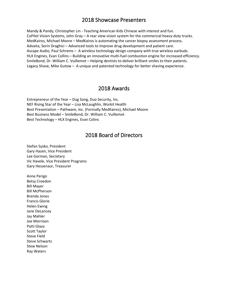Mandy & Pandy, Christopher Lin - Teaching American Kids Chinese with interest and fun. CoPilot Vision Systems, John Gray – A rear view vision system for the commercial heavy-duty trucks. MedKairos, Michael Moore – MedKairos is automating the cancer biopsy assessment process. Advaita, Sorin Draghici – Advanced tools to improve drug development and patient care. Ascape Audio, Paul Schrems – A wireless technology design company with true wireless earbuds. HLX Engines, Evan Collins – Building an innovative multi-fuel combustion engine for increased efficiency. SmileBond, Dr. William C. Vuillemot – Helping dentists to deliver brilliant smiles to their patients. Legacy Shave, Mike Gutow – A unique and patented technology for better shaving experience.

#### 2018 Awards

Entrepreneur of the Year – Dug Song, Duo Security, Inc. NEF Rising Star of the Year – Lisa McLaughlin, Workit Health Best Presentation – Pathware, Inc. (Formally MedKairos), Michael Moore Best Business Model – SmileBond, Dr. William C. Vuillemot Best Technology – HLX Engines, Evan Colins

#### 2018 Board of Directors

Stefan Sysko, President Gary Hazen, Vice President Lee Gorman, Secretary Vic Havele, Vice President Programs Gary Hessenaur, Treasurer

Anne Perigo Betsy Creedon Bill Mayer Bill McPherson Brenda Jones Francis Glorie Helen Ewing Jane DeLancey Jay Mahler Joe Morrison Patti Glaza Scott Taylor Steve Field Steve Schwartz Stew Nelson Ray Waters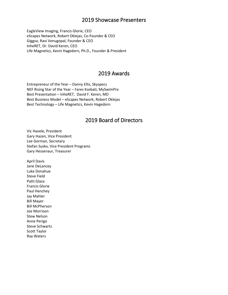EagleView Imaging, Francis Glorie, CEO eScapes Network, Robert Oklejas, Co-Founder & CEO Giggso, Ravi Venugopal, Founder & CEO InheRET, Dr. David Keren, CEO Life Magnetics, Kevin Hagedorn, Ph.D., Founder & President

#### 2019 Awards

Entrepreneur of the Year – Danny Ellis, Skyspecs NEF Rising Star of the Year – Fares Ksebati, MySwimPro Best Presentation – InheRET, David F. Keren, MD Best Business Model – eScapes Network, Robert Oklejas Best Technology – Life Magnetics, Kevin Hagedorn

#### 2019 Board of Directors

Vic Havele, President Gary Hazen, Vice President Lee Gorman, Secretary Stefan Sysko, Vice President Programs Gary Hessenaur, Treasurer

April Davis Jane DeLancey Luke Donahue Steve Field Patti Glaza Francis Glorie Paul Henchey Jay Mahler Bill Mayer Bill McPherson Joe Morrison Stew Nelson Anne Perigo Steve Schwartz Scott Taylor Ray Waters